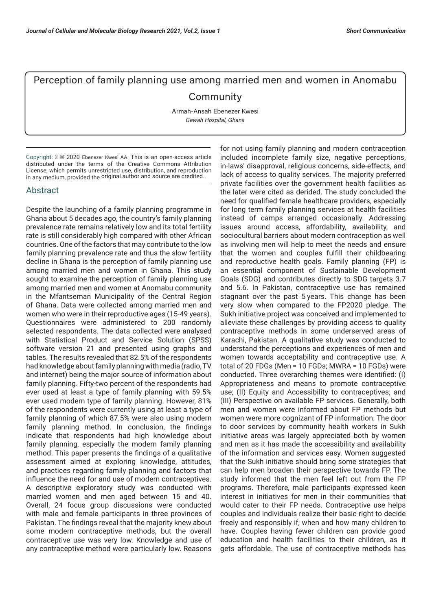## Perception of family planning use among married men and women in Anomabu **Community**

Armah-Ansah Ebenezer Kwesi *Gewah Hospital, Ghana*

Copyright: © 2020 Ebenezer Kwesi AA. This is an open-access article distributed under the terms of the Creative Commons Attribution License, which permits unrestricted use, distribution, and reproduction in any medium, provided the original author and source are credited..

## Abstract

Despite the launching of a family planning programme in Ghana about 5 decades ago, the country's family planning prevalence rate remains relatively low and its total fertility rate is still considerably high compared with other African countries. One of the factors that may contribute to the low family planning prevalence rate and thus the slow fertility decline in Ghana is the perception of family planning use among married men and women in Ghana. This study sought to examine the perception of family planning use among married men and women at Anomabu community in the Mfantseman Municipality of the Central Region of Ghana. Data were collected among married men and women who were in their reproductive ages (15-49 years). Questionnaires were administered to 200 randomly selected respondents. The data collected were analysed with Statistical Product and Service Solution (SPSS) software version 21 and presented using graphs and tables. The results revealed that 82.5% of the respondents had knowledge about family planning with media (radio, TV and internet) being the major source of information about family planning. Fifty-two percent of the respondents had ever used at least a type of family planning with 59.5% ever used modern type of family planning. However, 81% of the respondents were currently using at least a type of family planning of which 87.5% were also using modern family planning method. In conclusion, the findings indicate that respondents had high knowledge about family planning, especially the modern family planning method. This paper presents the findings of a qualitative assessment aimed at exploring knowledge, attitudes, and practices regarding family planning and factors that influence the need for and use of modern contraceptives. A descriptive exploratory study was conducted with married women and men aged between 15 and 40. Overall, 24 focus group discussions were conducted with male and female participants in three provinces of Pakistan. The findings reveal that the majority knew about some modern contraceptive methods, but the overall contraceptive use was very low. Knowledge and use of any contraceptive method were particularly low. Reasons

for not using family planning and modern contraception included incomplete family size, negative perceptions, in-laws' disapproval, religious concerns, side-effects, and lack of access to quality services. The majority preferred private facilities over the government health facilities as the later were cited as derided. The study concluded the need for qualified female healthcare providers, especially for long term family planning services at health facilities instead of camps arranged occasionally. Addressing issues around access, affordability, availability, and sociocultural barriers about modern contraception as well as involving men will help to meet the needs and ensure that the women and couples fulfill their childbearing and reproductive health goals. Family planning (FP) is an essential component of Sustainable Development Goals (SDG) and contributes directly to SDG targets 3.7 and 5.6. In Pakistan, contraceptive use has remained stagnant over the past 5 years. This change has been very slow when compared to the FP2020 pledge. The Sukh initiative project was conceived and implemented to alleviate these challenges by providing access to quality contraceptive methods in some underserved areas of Karachi, Pakistan. A qualitative study was conducted to understand the perceptions and experiences of men and women towards acceptability and contraceptive use. A total of 20 FDGs (Men = 10 FGDs; MWRA = 10 FGDs) were conducted. Three overarching themes were identified: (I) Appropriateness and means to promote contraceptive use; (II) Equity and Accessibility to contraceptives; and (III) Perspective on available FP services. Generally, both men and women were informed about FP methods but women were more cognizant of FP information. The door to door services by community health workers in Sukh initiative areas was largely appreciated both by women and men as it has made the accessibility and availability of the information and services easy. Women suggested that the Sukh initiative should bring some strategies that can help men broaden their perspective towards FP. The study informed that the men feel left out from the FP programs. Therefore, male participants expressed keen interest in initiatives for men in their communities that would cater to their FP needs. Contraceptive use helps couples and individuals realize their basic right to decide freely and responsibly if, when and how many children to have. Couples having fewer children can provide good education and health facilities to their children, as it gets affordable. The use of contraceptive methods has